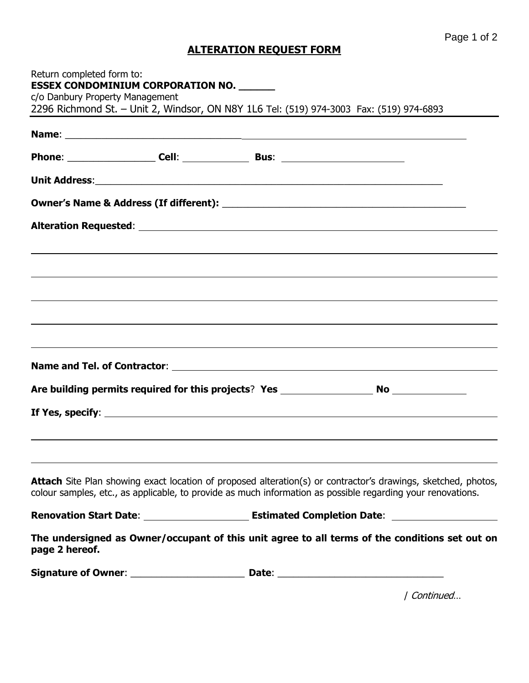## **ALTERATION REQUEST FORM**

| Return completed form to:       | <b>ESSEX CONDOMINIUM CORPORATION NO.</b> |                                                                                                                                                                                                                                     |
|---------------------------------|------------------------------------------|-------------------------------------------------------------------------------------------------------------------------------------------------------------------------------------------------------------------------------------|
| c/o Danbury Property Management |                                          |                                                                                                                                                                                                                                     |
|                                 |                                          | 2296 Richmond St. - Unit 2, Windsor, ON N8Y 1L6 Tel: (519) 974-3003 Fax: (519) 974-6893                                                                                                                                             |
|                                 |                                          |                                                                                                                                                                                                                                     |
|                                 |                                          |                                                                                                                                                                                                                                     |
|                                 |                                          |                                                                                                                                                                                                                                     |
|                                 |                                          |                                                                                                                                                                                                                                     |
|                                 |                                          |                                                                                                                                                                                                                                     |
|                                 |                                          | ,我们也不会有什么?""我们的人,我们也不会有什么?""我们的人,我们也不会有什么?""我们的人,我们也不会有什么?""我们的人,我们也不会有什么?""我们的人                                                                                                                                                    |
|                                 |                                          |                                                                                                                                                                                                                                     |
|                                 |                                          |                                                                                                                                                                                                                                     |
|                                 |                                          |                                                                                                                                                                                                                                     |
|                                 |                                          |                                                                                                                                                                                                                                     |
|                                 |                                          | ,我们也不会有什么。""我们的人,我们也不会有什么?""我们的人,我们也不会有什么?""我们的人,我们也不会有什么?""我们的人,我们也不会有什么?""我们的人                                                                                                                                                    |
|                                 |                                          |                                                                                                                                                                                                                                     |
|                                 |                                          |                                                                                                                                                                                                                                     |
|                                 |                                          |                                                                                                                                                                                                                                     |
|                                 |                                          |                                                                                                                                                                                                                                     |
|                                 |                                          | <b>Attach</b> Site Plan showing exact location of proposed alteration(s) or contractor's drawings, sketched, photos,<br>colour samples, etc., as applicable, to provide as much information as possible regarding your renovations. |
|                                 |                                          |                                                                                                                                                                                                                                     |
| page 2 hereof.                  |                                          | The undersigned as Owner/occupant of this unit agree to all terms of the conditions set out on                                                                                                                                      |
|                                 |                                          |                                                                                                                                                                                                                                     |
|                                 |                                          |                                                                                                                                                                                                                                     |

/ Continued…